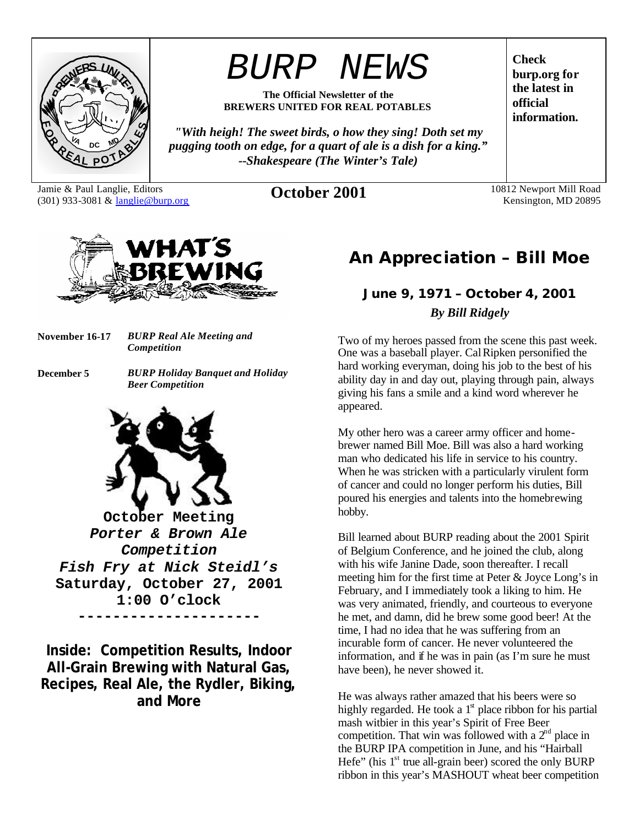

# *BURP NEWS*

**The Official Newsletter of the BREWERS UNITED FOR REAL POTABLES**

*"With heigh! The sweet birds, o how they sing! Doth set my pugging tooth on edge, for a quart of ale is a dish for a king." --Shakespeare (The Winter's Tale)*

Jamie & Paul Langlie, Editors (301) 933-3081 & langlie@burp.org **October 2001** 10812 Newport Mill Road

**burp.org for the latest in official information.**

**Check** 

Kensington, MD 20895



**November 16-17** *BURP Real Ale Meeting and Competition*

**December 5** *BURP Holiday Banquet and Holiday Beer Competition*



**October Meeting** *Porter & Brown Ale Competition Fish Fry at Nick Steidl's* **Saturday, October 27, 2001 1:00 O'clock ---------------------**

**Inside: Competition Results, Indoor All-Grain Brewing with Natural Gas, Recipes, Real Ale, the Rydler, Biking, and More**

# **An Appreciation – Bill Moe**

# *June 9, 1971 – October 4, 2001 By Bill Ridgely*

Two of my heroes passed from the scene this past week. One was a baseball player. Cal Ripken personified the hard working everyman, doing his job to the best of his ability day in and day out, playing through pain, always giving his fans a smile and a kind word wherever he appeared.

My other hero was a career army officer and homebrewer named Bill Moe. Bill was also a hard working man who dedicated his life in service to his country. When he was stricken with a particularly virulent form of cancer and could no longer perform his duties, Bill poured his energies and talents into the homebrewing hobby.

Bill learned about BURP reading about the 2001 Spirit of Belgium Conference, and he joined the club, along with his wife Janine Dade, soon thereafter. I recall meeting him for the first time at Peter & Joyce Long's in February, and I immediately took a liking to him. He was very animated, friendly, and courteous to everyone he met, and damn, did he brew some good beer! At the time, I had no idea that he was suffering from an incurable form of cancer. He never volunteered the information, and if he was in pain (as I'm sure he must have been), he never showed it.

He was always rather amazed that his beers were so highly regarded. He took a  $1<sup>st</sup>$  place ribbon for his partial mash witbier in this year's Spirit of Free Beer competition. That win was followed with a  $2<sup>nd</sup>$  place in the BURP IPA competition in June, and his "Hairball Hefe" (his  $1<sup>st</sup>$  true all-grain beer) scored the only BURP ribbon in this year's MASHOUT wheat beer competition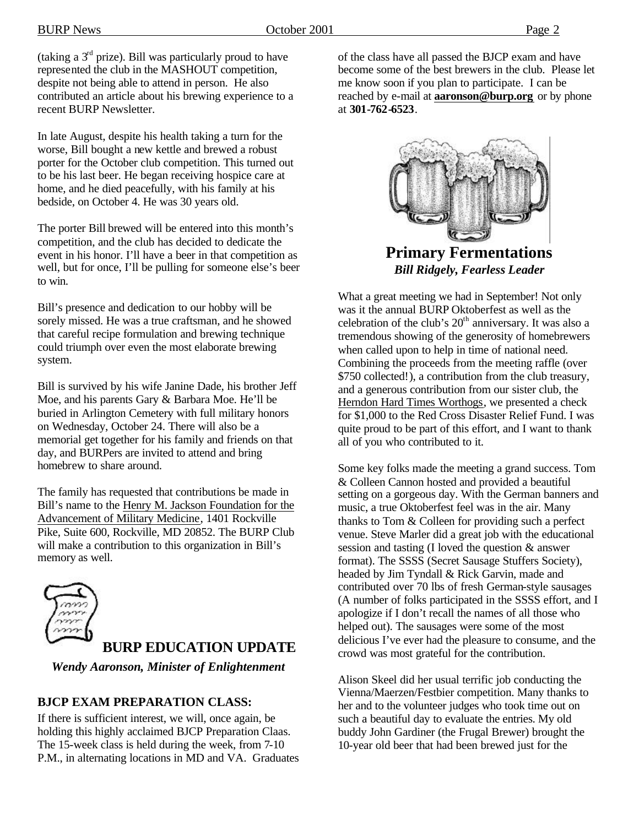(taking a  $3<sup>rd</sup>$  prize). Bill was particularly proud to have represented the club in the MASHOUT competition, despite not being able to attend in person. He also contributed an article about his brewing experience to a recent BURP Newsletter.

In late August, despite his health taking a turn for the worse, Bill bought a new kettle and brewed a robust porter for the October club competition. This turned out to be his last beer. He began receiving hospice care at home, and he died peacefully, with his family at his bedside, on October 4. He was 30 years old.

The porter Bill brewed will be entered into this month's competition, and the club has decided to dedicate the event in his honor. I'll have a beer in that competition as well, but for once, I'll be pulling for someone else's beer to win.

Bill's presence and dedication to our hobby will be sorely missed. He was a true craftsman, and he showed that careful recipe formulation and brewing technique could triumph over even the most elaborate brewing system.

Bill is survived by his wife Janine Dade, his brother Jeff Moe, and his parents Gary & Barbara Moe. He'll be buried in Arlington Cemetery with full military honors on Wednesday, October 24. There will also be a memorial get together for his family and friends on that day, and BURPers are invited to attend and bring homebrew to share around.

The family has requested that contributions be made in Bill's name to the Henry M. Jackson Foundation for the Advancement of Military Medicine, 1401 Rockville Pike, Suite 600, Rockville, MD 20852. The BURP Club will make a contribution to this organization in Bill's memory as well.



## **BURP EDUCATION UPDATE**

*Wendy Aaronson, Minister of Enlightenment*

### **BJCP EXAM PREPARATION CLASS:**

If there is sufficient interest, we will, once again, be holding this highly acclaimed BJCP Preparation Claas. The 15-week class is held during the week, from 7-10 P.M., in alternating locations in MD and VA. Graduates of the class have all passed the BJCP exam and have become some of the best brewers in the club. Please let me know soon if you plan to participate. I can be reached by e-mail at **aaronson@burp.org** or by phone at **301-762-6523**.



**Primary Fermentations** *Bill Ridgely, Fearless Leader*

What a great meeting we had in September! Not only was it the annual BURP Oktoberfest as well as the celebration of the club's  $20<sup>th</sup>$  anniversary. It was also a tremendous showing of the generosity of homebrewers when called upon to help in time of national need. Combining the proceeds from the meeting raffle (over \$750 collected!), a contribution from the club treasury, and a generous contribution from our sister club, the Herndon Hard Times Worthogs, we presented a check for \$1,000 to the Red Cross Disaster Relief Fund. I was quite proud to be part of this effort, and I want to thank all of you who contributed to it.

Some key folks made the meeting a grand success. Tom & Colleen Cannon hosted and provided a beautiful setting on a gorgeous day. With the German banners and music, a true Oktoberfest feel was in the air. Many thanks to Tom & Colleen for providing such a perfect venue. Steve Marler did a great job with the educational session and tasting (I loved the question & answer format). The SSSS (Secret Sausage Stuffers Society), headed by Jim Tyndall & Rick Garvin, made and contributed over 70 lbs of fresh German-style sausages (A number of folks participated in the SSSS effort, and I apologize if I don't recall the names of all those who helped out). The sausages were some of the most delicious I've ever had the pleasure to consume, and the crowd was most grateful for the contribution.

Alison Skeel did her usual terrific job conducting the Vienna/Maerzen/Festbier competition. Many thanks to her and to the volunteer judges who took time out on such a beautiful day to evaluate the entries. My old buddy John Gardiner (the Frugal Brewer) brought the 10-year old beer that had been brewed just for the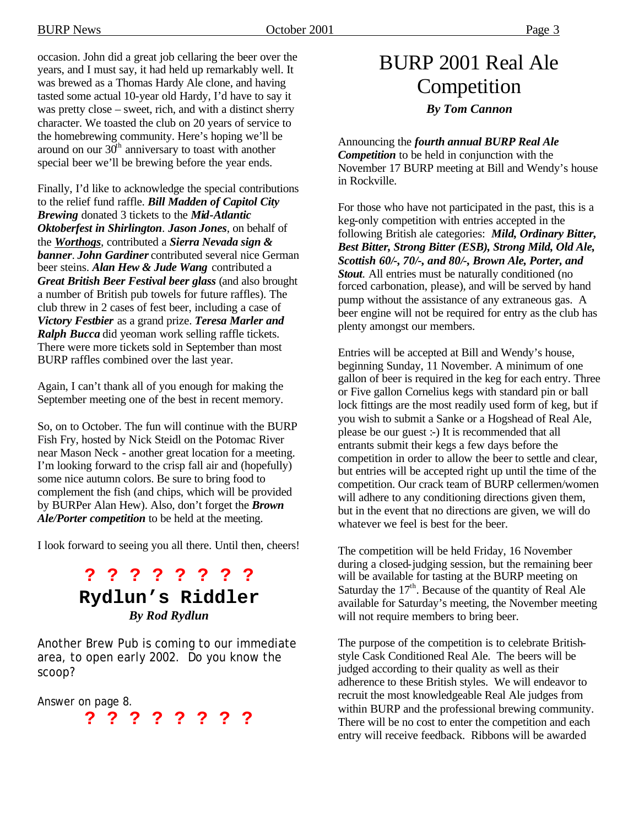occasion. John did a great job cellaring the beer over the years, and I must say, it had held up remarkably well. It was brewed as a Thomas Hardy Ale clone, and having tasted some actual 10-year old Hardy, I'd have to say it was pretty close – sweet, rich, and with a distinct sherry character. We toasted the club on 20 years of service to the homebrewing community. Here's hoping we'll be around on our  $30<sup>th</sup>$  anniversary to toast with another special beer we'll be brewing before the year ends.

Finally, I'd like to acknowledge the special contributions to the relief fund raffle. *Bill Madden of Capitol City Brewing* donated 3 tickets to the *Mid-Atlantic Oktoberfest in Shirlington*. *Jason Jones*, on behalf of the *Worthogs*, contributed a *Sierra Nevada sign & banner*. *John Gardiner* contributed several nice German beer steins. *Alan Hew & Jude Wang* contributed a *Great British Beer Festival beer glass* (and also brought a number of British pub towels for future raffles). The club threw in 2 cases of fest beer, including a case of *Victory Festbier* as a grand prize. *Teresa Marler and Ralph Bucca* did yeoman work selling raffle tickets. There were more tickets sold in September than most BURP raffles combined over the last year.

Again, I can't thank all of you enough for making the September meeting one of the best in recent memory.

So, on to October. The fun will continue with the BURP Fish Fry, hosted by Nick Steidl on the Potomac River near Mason Neck - another great location for a meeting. I'm looking forward to the crisp fall air and (hopefully) some nice autumn colors. Be sure to bring food to complement the fish (and chips, which will be provided by BURPer Alan Hew). Also, don't forget the *Brown Ale/Porter competition* to be held at the meeting.

I look forward to seeing you all there. Until then, cheers!

# **? ? ? ? ? ? ? ? Rydlun's Riddler** *By Rod Rydlun*

Another Brew Pub is coming to our immediate area, to open early 2002. Do you know the scoop?

Answer on page 8.

**? ? ? ? ? ? ? ?**

# BURP 2001 Real Ale Competition *By Tom Cannon*

Announcing the *fourth annual BURP Real Ale Competition* to be held in conjunction with the November 17 BURP meeting at Bill and Wendy's house in Rockville.

For those who have not participated in the past, this is a keg-only competition with entries accepted in the following British ale categories: *Mild, Ordinary Bitter, Best Bitter, Strong Bitter (ESB), Strong Mild, Old Ale, Scottish 60/-, 70/-, and 80/-, Brown Ale, Porter, and Stout*. All entries must be naturally conditioned (no forced carbonation, please), and will be served by hand pump without the assistance of any extraneous gas. A beer engine will not be required for entry as the club has plenty amongst our members.

Entries will be accepted at Bill and Wendy's house, beginning Sunday, 11 November. A minimum of one gallon of beer is required in the keg for each entry. Three or Five gallon Cornelius kegs with standard pin or ball lock fittings are the most readily used form of keg, but if you wish to submit a Sanke or a Hogshead of Real Ale, please be our guest :-) It is recommended that all entrants submit their kegs a few days before the competition in order to allow the beer to settle and clear, but entries will be accepted right up until the time of the competition. Our crack team of BURP cellermen/women will adhere to any conditioning directions given them, but in the event that no directions are given, we will do whatever we feel is best for the beer.

The competition will be held Friday, 16 November during a closed-judging session, but the remaining beer will be available for tasting at the BURP meeting on Saturday the  $17<sup>th</sup>$ . Because of the quantity of Real Ale available for Saturday's meeting, the November meeting will not require members to bring beer.

The purpose of the competition is to celebrate Britishstyle Cask Conditioned Real Ale. The beers will be judged according to their quality as well as their adherence to these British styles. We will endeavor to recruit the most knowledgeable Real Ale judges from within BURP and the professional brewing community. There will be no cost to enter the competition and each entry will receive feedback. Ribbons will be awarded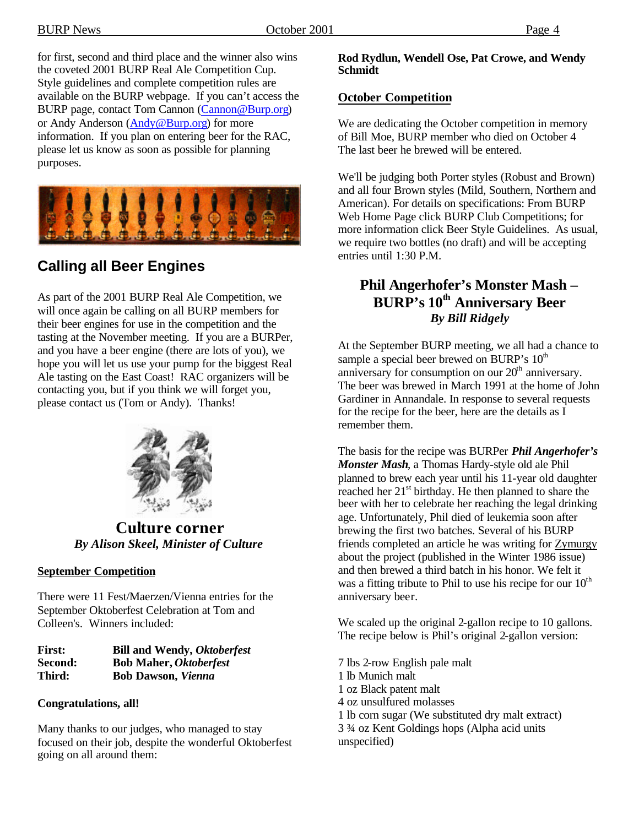BURP News Corober 2001 Page 4

for first, second and third place and the winner also wins the coveted 2001 BURP Real Ale Competition Cup. Style guidelines and complete competition rules are available on the BURP webpage. If you can't access the BURP page, contact Tom Cannon (Cannon@Burp.org) or Andy Anderson (Andy@Burp.org) for more information. If you plan on entering beer for the RAC, please let us know as soon as possible for planning purposes.



# **Calling all Beer Engines**

As part of the 2001 BURP Real Ale Competition, we will once again be calling on all BURP members for their beer engines for use in the competition and the tasting at the November meeting. If you are a BURPer, and you have a beer engine (there are lots of you), we hope you will let us use your pump for the biggest Real Ale tasting on the East Coast! RAC organizers will be contacting you, but if you think we will forget you, please contact us (Tom or Andy). Thanks!



**Culture corner** *By Alison Skeel, Minister of Culture*

#### **September Competition**

There were 11 Fest/Maerzen/Vienna entries for the September Oktoberfest Celebration at Tom and Colleen's. Winners included:

| <b>First:</b> | <b>Bill and Wendy, Oktoberfest</b> |
|---------------|------------------------------------|
| Second:       | <b>Bob Maher, Oktoberfest</b>      |
| Third:        | <b>Bob Dawson, Vienna</b>          |

#### **Congratulations, all!**

Many thanks to our judges, who managed to stay focused on their job, despite the wonderful Oktoberfest going on all around them:

#### **Rod Rydlun, Wendell Ose, Pat Crowe, and Wendy Schmidt**

### **October Competition**

We are dedicating the October competition in memory of Bill Moe, BURP member who died on October 4 The last beer he brewed will be entered.

We'll be judging both Porter styles (Robust and Brown) and all four Brown styles (Mild, Southern, Northern and American). For details on specifications: From BURP Web Home Page click BURP Club Competitions; for more information click Beer Style Guidelines. As usual, we require two bottles (no draft) and will be accepting entries until 1:30 P.M.

## **Phil Angerhofer's Monster Mash – BURP's 10th Anniversary Beer** *By Bill Ridgely*

At the September BURP meeting, we all had a chance to sample a special beer brewed on BURP's  $10<sup>th</sup>$ anniversary for consumption on our  $20<sup>th</sup>$  anniversary. The beer was brewed in March 1991 at the home of John Gardiner in Annandale. In response to several requests for the recipe for the beer, here are the details as I remember them.

The basis for the recipe was BURPer *Phil Angerhofer's Monster Mash*, a Thomas Hardy-style old ale Phil planned to brew each year until his 11-year old daughter reached her 21<sup>st</sup> birthday. He then planned to share the beer with her to celebrate her reaching the legal drinking age. Unfortunately, Phil died of leukemia soon after brewing the first two batches. Several of his BURP friends completed an article he was writing for Zymurgy about the project (published in the Winter 1986 issue) and then brewed a third batch in his honor. We felt it was a fitting tribute to Phil to use his recipe for our  $10^{th}$ anniversary beer.

We scaled up the original 2-gallon recipe to 10 gallons. The recipe below is Phil's original 2-gallon version:

7 lbs 2-row English pale malt 1 lb Munich malt 1 oz Black patent malt 4 oz unsulfured molasses 1 lb corn sugar (We substituted dry malt extract) 3 ¾ oz Kent Goldings hops (Alpha acid units unspecified)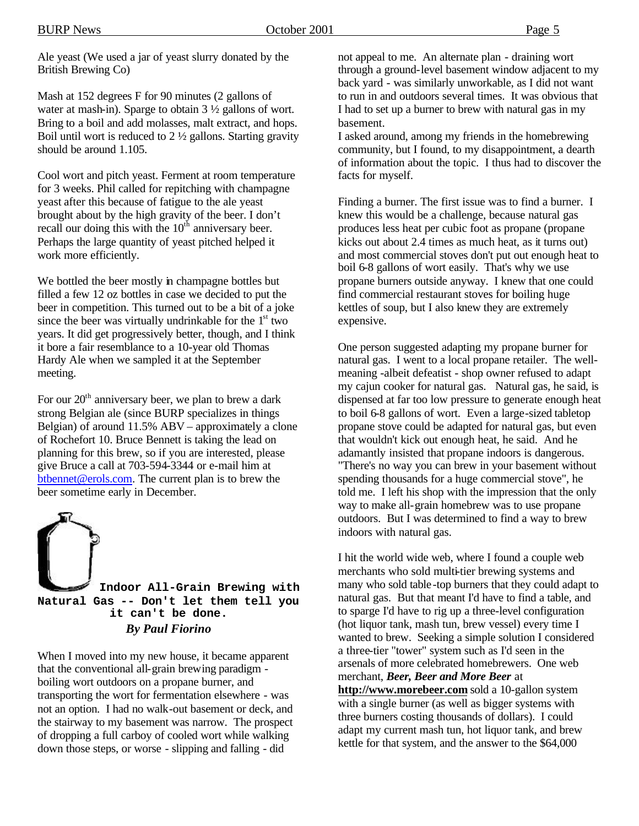Ale yeast (We used a jar of yeast slurry donated by the British Brewing Co)

Mash at 152 degrees F for 90 minutes (2 gallons of water at mash-in). Sparge to obtain 3 ½ gallons of wort. Bring to a boil and add molasses, malt extract, and hops. Boil until wort is reduced to 2 ½ gallons. Starting gravity should be around 1.105.

Cool wort and pitch yeast. Ferment at room temperature for 3 weeks. Phil called for repitching with champagne yeast after this because of fatigue to the ale yeast brought about by the high gravity of the beer. I don't recall our doing this with the  $10<sup>th</sup>$  anniversary beer. Perhaps the large quantity of yeast pitched helped it work more efficiently.

We bottled the beer mostly in champagne bottles but filled a few 12 oz bottles in case we decided to put the beer in competition. This turned out to be a bit of a joke since the beer was virtually undrinkable for the  $1<sup>st</sup>$  two years. It did get progressively better, though, and I think it bore a fair resemblance to a 10-year old Thomas Hardy Ale when we sampled it at the September meeting.

For our  $20<sup>th</sup>$  anniversary beer, we plan to brew a dark strong Belgian ale (since BURP specializes in things Belgian) of around 11.5% ABV – approximately a clone of Rochefort 10. Bruce Bennett is taking the lead on planning for this brew, so if you are interested, please give Bruce a call at 703-594-3344 or e-mail him at btbennet@erols.com. The current plan is to brew the beer sometime early in December.



When I moved into my new house, it became apparent that the conventional all-grain brewing paradigm boiling wort outdoors on a propane burner, and transporting the wort for fermentation elsewhere - was not an option. I had no walk-out basement or deck, and the stairway to my basement was narrow. The prospect of dropping a full carboy of cooled wort while walking down those steps, or worse - slipping and falling - did

not appeal to me. An alternate plan - draining wort through a ground-level basement window adjacent to my back yard - was similarly unworkable, as I did not want to run in and outdoors several times. It was obvious that I had to set up a burner to brew with natural gas in my basement.

I asked around, among my friends in the homebrewing community, but I found, to my disappointment, a dearth of information about the topic. I thus had to discover the facts for myself.

Finding a burner. The first issue was to find a burner. I knew this would be a challenge, because natural gas produces less heat per cubic foot as propane (propane kicks out about 2.4 times as much heat, as it turns out) and most commercial stoves don't put out enough heat to boil 6-8 gallons of wort easily. That's why we use propane burners outside anyway. I knew that one could find commercial restaurant stoves for boiling huge kettles of soup, but I also knew they are extremely expensive.

One person suggested adapting my propane burner for natural gas. I went to a local propane retailer. The wellmeaning -albeit defeatist - shop owner refused to adapt my cajun cooker for natural gas. Natural gas, he said, is dispensed at far too low pressure to generate enough heat to boil 6-8 gallons of wort. Even a large-sized tabletop propane stove could be adapted for natural gas, but even that wouldn't kick out enough heat, he said. And he adamantly insisted that propane indoors is dangerous. "There's no way you can brew in your basement without spending thousands for a huge commercial stove", he told me. I left his shop with the impression that the only way to make all-grain homebrew was to use propane outdoors. But I was determined to find a way to brew indoors with natural gas.

I hit the world wide web, where I found a couple web merchants who sold multi-tier brewing systems and many who sold table-top burners that they could adapt to natural gas. But that meant I'd have to find a table, and to sparge I'd have to rig up a three-level configuration (hot liquor tank, mash tun, brew vessel) every time I wanted to brew. Seeking a simple solution I considered a three-tier "tower" system such as I'd seen in the arsenals of more celebrated homebrewers. One web merchant, *Beer, Beer and More Beer* at **http://www.morebeer.com** sold a 10-gallon system with a single burner (as well as bigger systems with three burners costing thousands of dollars). I could adapt my current mash tun, hot liquor tank, and brew kettle for that system, and the answer to the \$64,000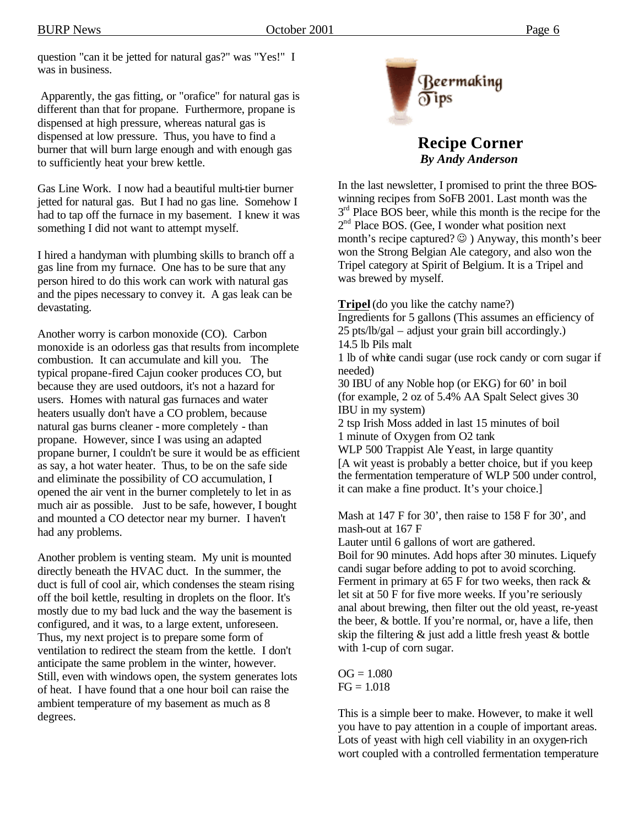question "can it be jetted for natural gas?" was "Yes!" I was in business.

 Apparently, the gas fitting, or "orafice" for natural gas is different than that for propane. Furthermore, propane is dispensed at high pressure, whereas natural gas is dispensed at low pressure. Thus, you have to find a burner that will burn large enough and with enough gas to sufficiently heat your brew kettle.

Gas Line Work. I now had a beautiful multi-tier burner jetted for natural gas. But I had no gas line. Somehow I had to tap off the furnace in my basement. I knew it was something I did not want to attempt myself.

I hired a handyman with plumbing skills to branch off a gas line from my furnace. One has to be sure that any person hired to do this work can work with natural gas and the pipes necessary to convey it. A gas leak can be devastating.

Another worry is carbon monoxide (CO). Carbon monoxide is an odorless gas that results from incomplete combustion. It can accumulate and kill you. The typical propane-fired Cajun cooker produces CO, but because they are used outdoors, it's not a hazard for users. Homes with natural gas furnaces and water heaters usually don't have a CO problem, because natural gas burns cleaner - more completely - than propane. However, since I was using an adapted propane burner, I couldn't be sure it would be as efficient as say, a hot water heater. Thus, to be on the safe side and eliminate the possibility of CO accumulation, I opened the air vent in the burner completely to let in as much air as possible. Just to be safe, however, I bought and mounted a CO detector near my burner. I haven't had any problems.

Another problem is venting steam. My unit is mounted directly beneath the HVAC duct. In the summer, the duct is full of cool air, which condenses the steam rising off the boil kettle, resulting in droplets on the floor. It's mostly due to my bad luck and the way the basement is configured, and it was, to a large extent, unforeseen. Thus, my next project is to prepare some form of ventilation to redirect the steam from the kettle. I don't anticipate the same problem in the winter, however. Still, even with windows open, the system generates lots of heat. I have found that a one hour boil can raise the ambient temperature of my basement as much as 8 degrees.



**Recipe Corner** *By Andy Anderson*

In the last newsletter, I promised to print the three BOSwinning recipes from SoFB 2001. Last month was the  $3<sup>rd</sup>$  Place BOS beer, while this month is the recipe for the 2<sup>nd</sup> Place BOS. (Gee, I wonder what position next month's recipe captured?  $\odot$  ) Anyway, this month's beer won the Strong Belgian Ale category, and also won the Tripel category at Spirit of Belgium. It is a Tripel and was brewed by myself.

**Tripel** (do you like the catchy name?) Ingredients for 5 gallons (This assumes an efficiency of 25 pts/lb/gal – adjust your grain bill accordingly.) 14.5 lb Pils malt 1 lb of white candi sugar (use rock candy or corn sugar if needed) 30 IBU of any Noble hop (or EKG) for 60' in boil (for example, 2 oz of 5.4% AA Spalt Select gives 30 IBU in my system) 2 tsp Irish Moss added in last 15 minutes of boil 1 minute of Oxygen from O2 tank WLP 500 Trappist Ale Yeast, in large quantity [A wit yeast is probably a better choice, but if you keep the fermentation temperature of WLP 500 under control, it can make a fine product. It's your choice.]

Mash at 147 F for 30', then raise to 158 F for 30', and mash-out at 167 F

Lauter until 6 gallons of wort are gathered. Boil for 90 minutes. Add hops after 30 minutes. Liquefy

candi sugar before adding to pot to avoid scorching. Ferment in primary at 65 F for two weeks, then rack  $\&$ let sit at 50 F for five more weeks. If you're seriously anal about brewing, then filter out the old yeast, re-yeast the beer, & bottle. If you're normal, or, have a life, then skip the filtering  $\&$  just add a little fresh yeast  $\&$  bottle with 1-cup of corn sugar.

 $OG = 1.080$  $FG = 1.018$ 

This is a simple beer to make. However, to make it well you have to pay attention in a couple of important areas. Lots of yeast with high cell viability in an oxygen-rich wort coupled with a controlled fermentation temperature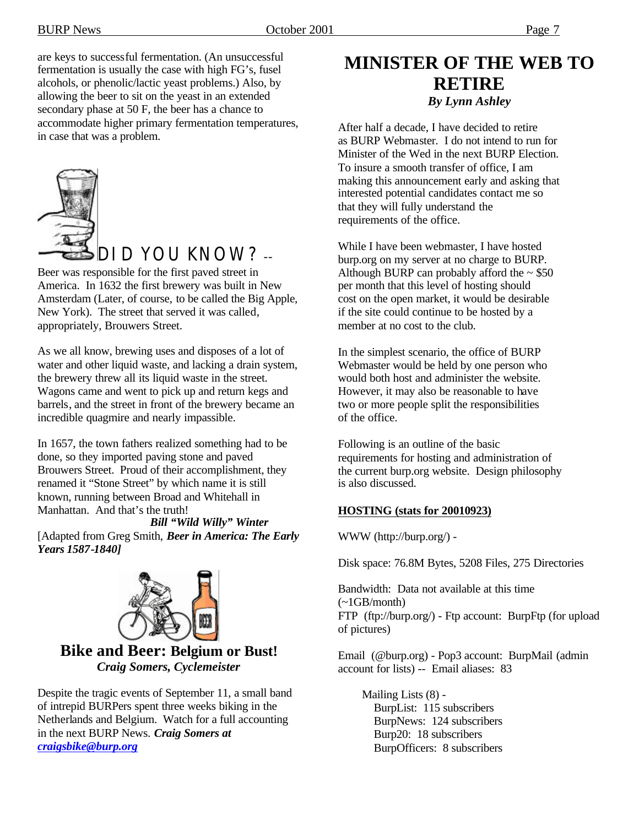are keys to successful fermentation. (An unsuccessful fermentation is usually the case with high FG's, fusel alcohols, or phenolic/lactic yeast problems.) Also, by allowing the beer to sit on the yeast in an extended secondary phase at 50 F, the beer has a chance to accommodate higher primary fermentation temperatures, in case that was a problem.



DID YOU KNOW? --

Beer was responsible for the first paved street in America. In 1632 the first brewery was built in New Amsterdam (Later, of course, to be called the Big Apple, New York). The street that served it was called, appropriately, Brouwers Street.

As we all know, brewing uses and disposes of a lot of water and other liquid waste, and lacking a drain system, the brewery threw all its liquid waste in the street. Wagons came and went to pick up and return kegs and barrels, and the street in front of the brewery became an incredible quagmire and nearly impassible.

In 1657, the town fathers realized something had to be done, so they imported paving stone and paved Brouwers Street. Proud of their accomplishment, they renamed it "Stone Street" by which name it is still known, running between Broad and Whitehall in Manhattan. And that's the truth!

*Bill "Wild Willy" Winter* [Adapted from Greg Smith, *Beer in America: The Early Years 1587-1840]*



### **Bike and Beer: Belgium or Bust!** *Craig Somers, Cyclemeister*

Despite the tragic events of September 11, a small band of intrepid BURPers spent three weeks biking in the Netherlands and Belgium. Watch for a full accounting in the next BURP News. *Craig Somers at craigsbike@burp.org*

# **MINISTER OF THE WEB TO RETIRE** *By Lynn Ashley*

After half a decade, I have decided to retire as BURP Webmaster. I do not intend to run for Minister of the Wed in the next BURP Election. To insure a smooth transfer of office, I am making this announcement early and asking that interested potential candidates contact me so that they will fully understand the requirements of the office.

While I have been webmaster, I have hosted burp.org on my server at no charge to BURP. Although BURP can probably afford the  $\sim$  \$50 per month that this level of hosting should cost on the open market, it would be desirable if the site could continue to be hosted by a member at no cost to the club.

In the simplest scenario, the office of BURP Webmaster would be held by one person who would both host and administer the website. However, it may also be reasonable to have two or more people split the responsibilities of the office.

Following is an outline of the basic requirements for hosting and administration of the current burp.org website. Design philosophy is also discussed.

### **HOSTING (stats for 20010923)**

WWW (http://burp.org/) -

Disk space: 76.8M Bytes, 5208 Files, 275 Directories

Bandwidth: Data not available at this time (~1GB/month) FTP (ftp://burp.org/) - Ftp account: BurpFtp (for upload of pictures)

Email (@burp.org) - Pop3 account: BurpMail (admin account for lists) -- Email aliases: 83

 Mailing Lists (8) - BurpList: 115 subscribers BurpNews: 124 subscribers Burp20: 18 subscribers BurpOfficers: 8 subscribers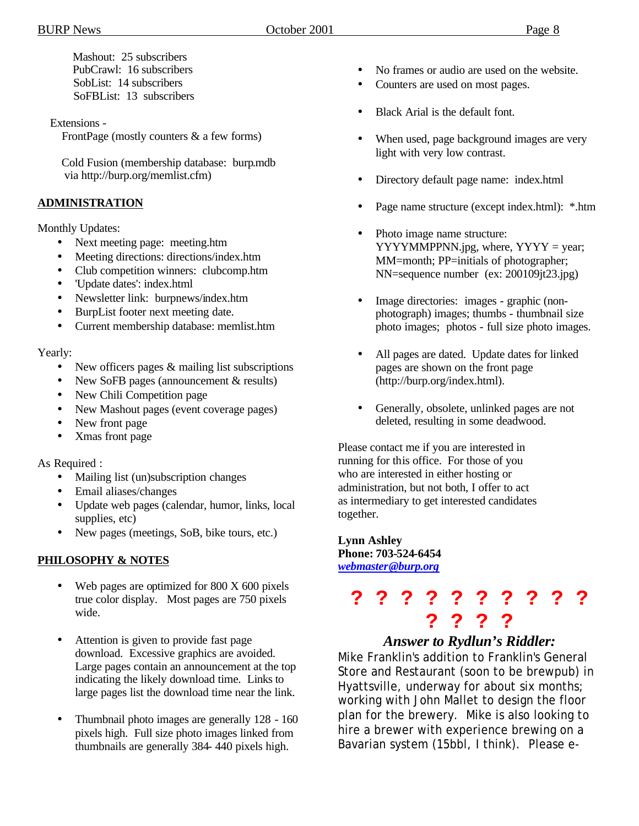Mashout: 25 subscribers PubCrawl: 16 subscribers SobList: 14 subscribers SoFBList: 13 subscribers

Extensions -

FrontPage (mostly counters & a few forms)

 Cold Fusion (membership database: burp.mdb via http://burp.org/memlist.cfm)

#### **ADMINISTRATION**

Monthly Updates:

- Next meeting page: meeting.htm
- Meeting directions: directions/index.htm
- Club competition winners: clubcomp.htm
- 'Update dates': index.html
- Newsletter link: burpnews/index.htm
- BurpList footer next meeting date.
- Current membership database: memlist.htm

#### Yearly:

- New officers pages & mailing list subscriptions
- New SoFB pages (announcement & results)
- New Chili Competition page
- New Mashout pages (event coverage pages)
- New front page
- Xmas front page

As Required :

- Mailing list (un)subscription changes
- Email aliases/changes
- Update web pages (calendar, humor, links, local supplies, etc)
- New pages (meetings, SoB, bike tours, etc.)

#### **PHILOSOPHY & NOTES**

- Web pages are optimized for 800 X 600 pixels true color display. Most pages are 750 pixels wide.
- Attention is given to provide fast page download. Excessive graphics are avoided. Large pages contain an announcement at the top indicating the likely download time. Links to large pages list the download time near the link.
- Thumbnail photo images are generally 128 160 pixels high. Full size photo images linked from thumbnails are generally 384- 440 pixels high.
- No frames or audio are used on the website.
- Counters are used on most pages.
- Black Arial is the default font.
- When used, page background images are very light with very low contrast.
- Directory default page name: index.html
- Page name structure (except index.html): \*.htm
- Photo image name structure:  $YYYYMMPPNN.jpg$ , where,  $YYYY$  = year; MM=month; PP=initials of photographer; NN=sequence number (ex: 200109jt23.jpg)
- Image directories: images graphic (nonphotograph) images; thumbs - thumbnail size photo images; photos - full size photo images.
- All pages are dated. Update dates for linked pages are shown on the front page (http://burp.org/index.html).
- Generally, obsolete, unlinked pages are not deleted, resulting in some deadwood.

Please contact me if you are interested in running for this office. For those of you who are interested in either hosting or administration, but not both, I offer to act as intermediary to get interested candidates together.

#### **Lynn Ashley Phone: 703-524-6454** *webmaster@burp.org*

# **? ? ? ? ? ? ? ? ? ? ? ? ? ?**

# *Answer to Rydlun's Riddler:*

Mike Franklin's addition to Franklin's General Store and Restaurant (soon to be brewpub) in Hyattsville, underway for about six months; working with John Mallet to design the floor plan for the brewery. Mike is also looking to hire a brewer with experience brewing on a Bavarian system (15bbl, I think). Please e